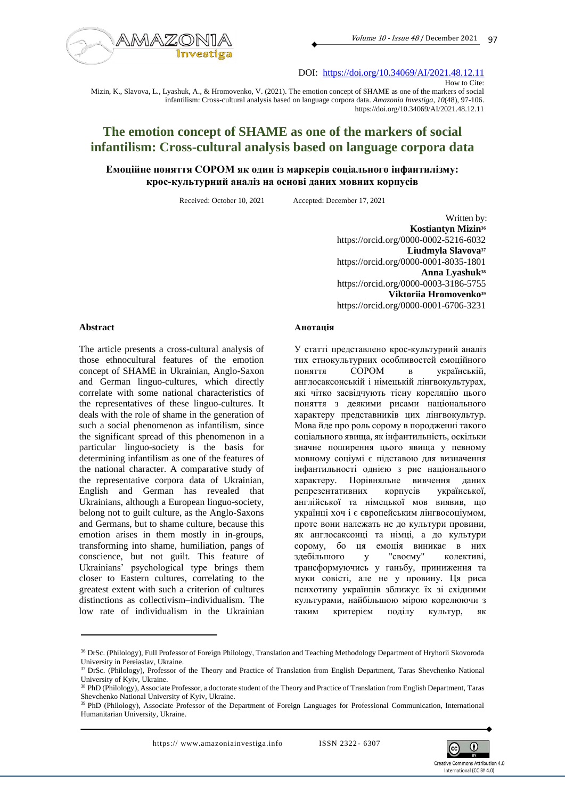

DOI: <https://doi.org/10.34069/AI/2021.48.12.11>

Mizin, K., Slavova, L., Lyashuk, A., & Hromovenko, V. (2021). The emotion concept of SHAME as one of the markers of social infantilism: Cross-cultural analysis based on language corpora data. *Amazonia Investiga*, *10*(48), 97-106. https://doi.org/10.34069/AI/2021.48.12.11

# **The emotion concept of SHAME as one of the markers of social infantilism: Cross-cultural analysis based on language corpora data**

# **Емоційне поняття СОРОМ як один із маркерів соціального інфантилізму: крос-культурний аналіз на основі даних мовних корпусів**

Received: October 10, 2021 Accepted: December 17, 2021

Written by: **Kostiantyn Mizin<sup>36</sup>** https://orcid.org/0000-0002-5216-6032 **Liudmyla Slavova<sup>37</sup>** https://orcid.org/0000-0001-8035-1801 **Anna Lyashuk<sup>38</sup>** https://orcid.org/0000-0003-3186-5755 **Viktoriia Hromovenko<sup>39</sup>** https://orcid.org/0000-0001-6706-3231

#### **Abstract**

The article presents a cross-cultural analysis of those ethnocultural features of the emotion concept of SHAME in Ukrainian, Anglo-Saxon and German linguo-cultures, which directly correlate with some national characteristics of the representatives of these linguo-cultures. It deals with the role of shame in the generation of such a social phenomenon as infantilism, since the significant spread of this phenomenon in a particular linguo-society is the basis for determining infantilism as one of the features of the national character. A comparative study of the representative corpora data of Ukrainian, English and German has revealed that Ukrainians, although a European linguo-society, belong not to guilt culture, as the Anglo-Saxons and Germans, but to shame culture, because this emotion arises in them mostly in in-groups, transforming into shame, humiliation, pangs of conscience, but not guilt. This feature of Ukrainians' psychological type brings them closer to Eastern cultures, correlating to the greatest extent with such a criterion of cultures distinctions as collectivism–individualism. The low rate of individualism in the Ukrainian

#### **Анотація**

У статті представлено крос-культурний аналіз тих етнокультурних особливостей емоційного поняття СОРОМ в українській, англосаксонській і німецькій лінгвокультурах, які чітко засвідчують тісну кореляцію цього поняття з деякими рисами національного характеру представників цих лінгвокультур. Мова йде про роль сорому в породженні такого соціального явища, як інфантильність, оскільки значне поширення цього явища у певному мовному соціумі є підставою для визначення інфантильності однією з рис національного характеру. Порівняльне вивчення даних репрезентативних корпусів української, англійської та німецької мов виявив, що українці хоч і є європейським лінгвосоціумом, проте вони належать не до культури провини, як англосаксонці та німці, а до культури сорому, бо ця емоція виникає в них здебільшого у "своєму" колективі, трансформуючись у ганьбу, приниження та муки совісті, але не у провину. Ця риса психотипу українців зближує їх зі східними культурами, найбільшою мірою корелюючи з таким критерієм поділу культур, як



How to Cite:

<sup>36</sup> DrSc. (Philology), Full Professor of Foreign Philology, Translation and Teaching Methodology Department of Hryhorii Skovoroda University in Pereiaslav, Ukraine.

<sup>&</sup>lt;sup>37</sup> DrSc. (Philology), Professor of the Theory and Practice of Translation from English Department, Taras Shevchenko National University of Kyiv, Ukraine.

<sup>&</sup>lt;sup>38</sup> PhD (Philology), Associate Professor, a doctorate student of the Theory and Practice of Translation from English Department, Taras Shevchenko National University of Kyiv, Ukraine.

<sup>&</sup>lt;sup>39</sup> PhD (Philology), Associate Professor of the Department of Foreign Languages for Professional Communication, International Humanitarian University, Ukraine.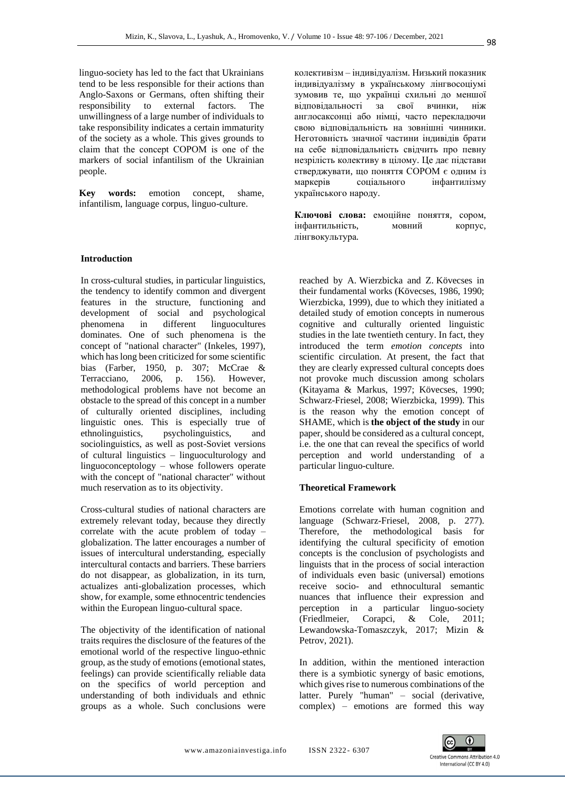linguo-society has led to the fact that Ukrainians tend to be less responsible for their actions than Anglo-Saxons or Germans, often shifting their responsibility to external factors. The unwillingness of a large number of individuals to take responsibility indicates a certain immaturity of the society as a whole. This gives grounds to claim that the concept СОРОМ is one of the markers of social infantilism of the Ukrainian people.

**Key words:** emotion concept, shame, infantilism, language corpus, linguo-culture.

### **Introduction**

In cross-cultural studies, in particular linguistics, the tendency to identify common and divergent features in the structure, functioning and development of social and psychological phenomena in different linguocultures dominates. One of such phenomena is the concept of "national character" (Inkeles, 1997), which has long been criticized for some scientific bias (Farber, 1950, p. 307; McCrae & Terracciano, 2006, p. 156). However, methodological problems have not become an obstacle to the spread of this concept in a number of culturally oriented disciplines, including linguistic ones. This is especially true of ethnolinguistics, psycholinguistics, and sociolinguistics, as well as post-Soviet versions of cultural linguistics – linguoculturology and linguoconceptology – whose followers operate with the concept of "national character" without much reservation as to its objectivity.

Cross-cultural studies of national characters are extremely relevant today, because they directly correlate with the acute problem of today – globalization. The latter encourages a number of issues of intercultural understanding, especially intercultural contacts and barriers. These barriers do not disappear, as globalization, in its turn, actualizes anti-globalization processes, which show, for example, some ethnocentric tendencies within the European linguo-cultural space.

The objectivity of the identification of national traits requires the disclosure of the features of the emotional world of the respective linguo-ethnic group, as the study of emotions (emotional states, feelings) can provide scientifically reliable data on the specifics of world perception and understanding of both individuals and ethnic groups as a whole. Such conclusions were колективізм – індивідуалізм. Низький показник індивідуалізму в українському лінгвосоціумі зумовив те, що українці схильні до меншої відповідальності за свої вчинки, ніж англосаксонці або німці, часто перекладючи свою відповідальність на зовнішні чинники. Неготовність значної частини індивідів брати на себе відповідальність свідчить про певну незрілість колективу в цілому. Це дає підстави стверджувати, що поняття СОРОМ є одним із маркерів соціального інфантилізму українського народу.

**Ключові слова:** емоційне поняття, сором, інфантильність, мовний корпус, лінгвокультура.

reached by A. Wierzbicka and Z. Kövecses in their fundamental works (Kövecses, 1986, 1990; Wierzbicka, 1999), due to which they initiated a detailed study of emotion concepts in numerous cognitive and culturally oriented linguistic studies in the late twentieth century. In fact, they introduced the term *emotion concepts* into scientific circulation. At present, the fact that they are clearly expressed cultural concepts does not provoke much discussion among scholars (Kitayama & Markus, 1997; Kövecses, 1990; Schwarz-Friesel, 2008; Wierzbicka, 1999). This is the reason why the emotion concept of SHAME, which is **the object of the study** in our paper, should be considered as a cultural concept, i.e. the one that can reveal the specifics of world perception and world understanding of a particular linguo-culture.

### **Theoretical Framework**

Emotions correlate with human cognition and language (Schwarz-Friesel, 2008, p. 277). Therefore, the methodological basis for identifying the cultural specificity of emotion concepts is the conclusion of psychologists and linguists that in the process of social interaction of individuals even basic (universal) emotions receive socio- and ethnocultural semantic nuances that influence their expression and perception in a particular linguo-society (Friedlmeier, Corapci, & Cole, 2011; Lewandowska-Tomaszczyk, 2017; Mizin & Petrov, 2021).

In addition, within the mentioned interaction there is a symbiotic synergy of basic emotions, which gives rise to numerous combinations of the latter. Purely "human" – social (derivative, complex) – emotions are formed this way

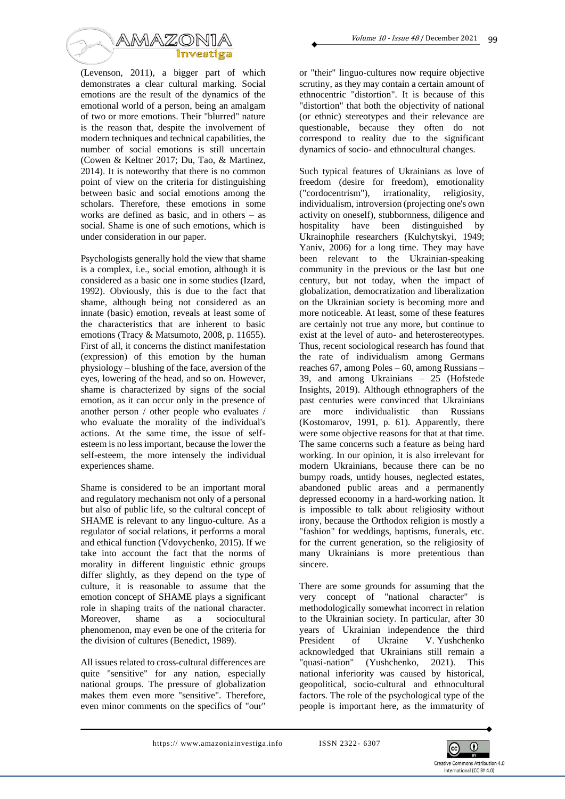

(Levenson, 2011), a bigger part of which demonstrates a clear cultural marking. Social emotions are the result of the dynamics of the emotional world of a person, being an amalgam of two or more emotions. Their "blurred" nature is the reason that, despite the involvement of modern techniques and technical capabilities, the number of social emotions is still uncertain (Cowen & Keltner 2017; Du, Tao, & Martinez, 2014). It is noteworthy that there is no common point of view on the criteria for distinguishing between basic and social emotions among the scholars. Therefore, these emotions in some works are defined as basic, and in others – as social. Shame is one of such emotions, which is under consideration in our paper.

Psychologists generally hold the view that shame is a complex, i.e., social emotion, although it is considered as a basic one in some studies (Izard, 1992). Obviously, this is due to the fact that shame, although being not considered as an innate (basic) emotion, reveals at least some of the characteristics that are inherent to basic emotions (Tracy & Matsumoto, 2008, p. 11655). First of all, it concerns the distinct manifestation (expression) of this emotion by the human physiology – blushing of the face, aversion of the eyes, lowering of the head, and so on. However, shame is characterized by signs of the social emotion, as it can occur only in the presence of another person / other people who evaluates / who evaluate the morality of the individual's actions. At the same time, the issue of selfesteem is no less important, because the lower the self-esteem, the more intensely the individual experiences shame.

Shame is considered to be an important moral and regulatory mechanism not only of a personal but also of public life, so the cultural concept of SHAME is relevant to any linguo-culture. As a regulator of social relations, it performs a moral and ethical function (Vdovychenko, 2015). If we take into account the fact that the norms of morality in different linguistic ethnic groups differ slightly, as they depend on the type of culture, it is reasonable to assume that the emotion concept of SHAME plays a significant role in shaping traits of the national character. Moreover, shame as a sociocultural phenomenon, may even be one of the criteria for the division of cultures (Benedict, 1989).

All issues related to cross-cultural differences are quite "sensitive" for any nation, especially national groups. The pressure of globalization makes them even more "sensitive". Therefore, even minor comments on the specifics of "our"

or "their" linguo-cultures now require objective scrutiny, as they may contain a certain amount of ethnocentric "distortion". It is because of this "distortion" that both the objectivity of national (or ethnic) stereotypes and their relevance are questionable, because they often do not correspond to reality due to the significant dynamics of socio- and ethnocultural changes.

Such typical features of Ukrainians as love of freedom (desire for freedom), emotionality ("cordocentrism"), irrationality, religiosity, individualism, introversion (projecting one's own activity on oneself), stubbornness, diligence and hospitality have been distinguished by Ukrainophile researchers (Kulchytskyi, 1949; Yaniv, 2006) for a long time. They may have been relevant to the Ukrainian-speaking community in the previous or the last but one century, but not today, when the impact of globalization, democratization and liberalization on the Ukrainian society is becoming more and more noticeable. At least, some of these features are certainly not true any more, but continue to exist at the level of auto- and heterostereotypes. Thus, recent sociological research has found that the rate of individualism among Germans reaches 67, among Poles – 60, among Russians – 39, and among Ukrainians – 25 (Hofstede Insights, 2019). Although ethnographers of the past centuries were convinced that Ukrainians are more individualistic than Russians (Kostomarov, 1991, p. 61). Apparently, there were some objective reasons for that at that time. The same concerns such a feature as being hard working. In our opinion, it is also irrelevant for modern Ukrainians, because there can be no bumpy roads, untidy houses, neglected estates, abandoned public areas and a permanently depressed economy in a hard-working nation. It is impossible to talk about religiosity without irony, because the Orthodox religion is mostly a "fashion" for weddings, baptisms, funerals, etc. for the current generation, so the religiosity of many Ukrainians is more pretentious than sincere.

There are some grounds for assuming that the very concept of "national character" is methodologically somewhat incorrect in relation to the Ukrainian society. In particular, after 30 years of Ukrainian independence the third President of Ukraine V. Yushchenko acknowledged that Ukrainians still remain a "quasi-nation" (Yushchenko, 2021). This national inferiority was caused by historical, geopolitical, socio-cultural and ethnocultural factors. The role of the psychological type of the people is important here, as the immaturity of

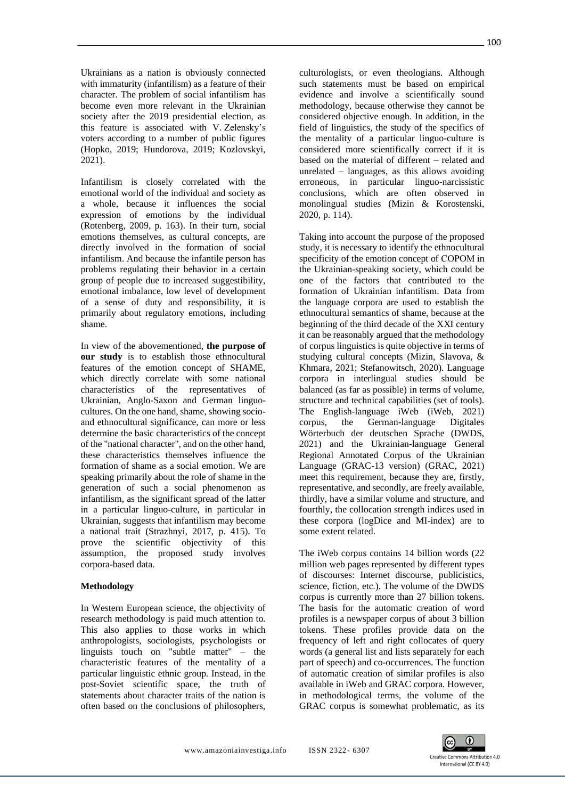Ukrainians as a nation is obviously connected with immaturity (infantilism) as a feature of their character. The problem of social infantilism has become even more relevant in the Ukrainian society after the 2019 presidential election, as this feature is associated with V. Zelensky's voters according to a number of public figures (Hopko, 2019; Hundorova, 2019; Kozlovskyi, 2021).

Infantilism is closely correlated with the emotional world of the individual and society as a whole, because it influences the social expression of emotions by the individual (Rotenberg, 2009, p. 163). In their turn, social emotions themselves, as cultural concepts, are directly involved in the formation of social infantilism. And because the infantile person has problems regulating their behavior in a certain group of people due to increased suggestibility, emotional imbalance, low level of development of a sense of duty and responsibility, it is primarily about regulatory emotions, including shame.

In view of the abovementioned, **the purpose of our study** is to establish those ethnocultural features of the emotion concept of SHAME, which directly correlate with some national characteristics of the representatives of Ukrainian, Anglo-Saxon and German linguocultures. On the one hand, shame, showing socioand ethnocultural significance, can more or less determine the basic characteristics of the concept of the "national character", and on the other hand, these characteristics themselves influence the formation of shame as a social emotion. We are speaking primarily about the role of shame in the generation of such a social phenomenon as infantilism, as the significant spread of the latter in a particular linguo-culture, in particular in Ukrainian, suggests that infantilism may become a national trait (Strazhnyi, 2017, p. 415). To prove the scientific objectivity of this assumption, the proposed study involves corpora-based data.

# **Methodology**

In Western European science, the objectivity of research methodology is paid much attention to. This also applies to those works in which anthropologists, sociologists, psychologists or linguists touch on "subtle matter" – the characteristic features of the mentality of a particular linguistic ethnic group. Instead, in the post-Soviet scientific space, the truth of statements about character traits of the nation is often based on the conclusions of philosophers,

culturologists, or even theologians. Although such statements must be based on empirical evidence and involve a scientifically sound methodology, because otherwise they cannot be considered objective enough. In addition, in the field of linguistics, the study of the specifics of the mentality of a particular linguo-culture is considered more scientifically correct if it is based on the material of different – related and unrelated – languages, as this allows avoiding erroneous, in particular linguo-narcissistic conclusions, which are often observed in monolingual studies (Mizin & Korostenski, 2020, p. 114).

Taking into account the purpose of the proposed study, it is necessary to identify the ethnocultural specificity of the emotion concept of СОРОМ in the Ukrainian-speaking society, which could be one of the factors that contributed to the formation of Ukrainian infantilism. Data from the language corpora are used to establish the ethnocultural semantics of shame, because at the beginning of the third decade of the XXI century it can be reasonably argued that the methodology of corpus linguistics is quite objective in terms of studying cultural concepts (Mizin, Slavova, & Khmara, 2021; Stefanowitsch, 2020). Language corpora in interlingual studies should be balanced (as far as possible) in terms of volume, structure and technical capabilities (set of tools). The English-language iWeb (iWeb, 2021) corpus, the German-language Digitales Wörterbuch der deutschen Sprache (DWDS, 2021) and the Ukrainian-language General Regional Annotated Corpus of the Ukrainian Language (GRAC-13 version) (GRAC, 2021) meet this requirement, because they are, firstly, representative, and secondly, are freely available, thirdly, have a similar volume and structure, and fourthly, the collocation strength indices used in these corpora (logDice and MI-index) are to some extent related.

The iWeb corpus contains 14 billion words (22 million web pages represented by different types of discourses: Internet discourse, publicistics, science, fiction, etc.). The volume of the DWDS corpus is currently more than 27 billion tokens. The basis for the automatic creation of word profiles is a newspaper corpus of about 3 billion tokens. These profiles provide data on the frequency of left and right collocates of query words (a general list and lists separately for each part of speech) and co-occurrences. The function of automatic creation of similar profiles is also available in iWeb and GRAC corpora. However, in methodological terms, the volume of the GRAC corpus is somewhat problematic, as its

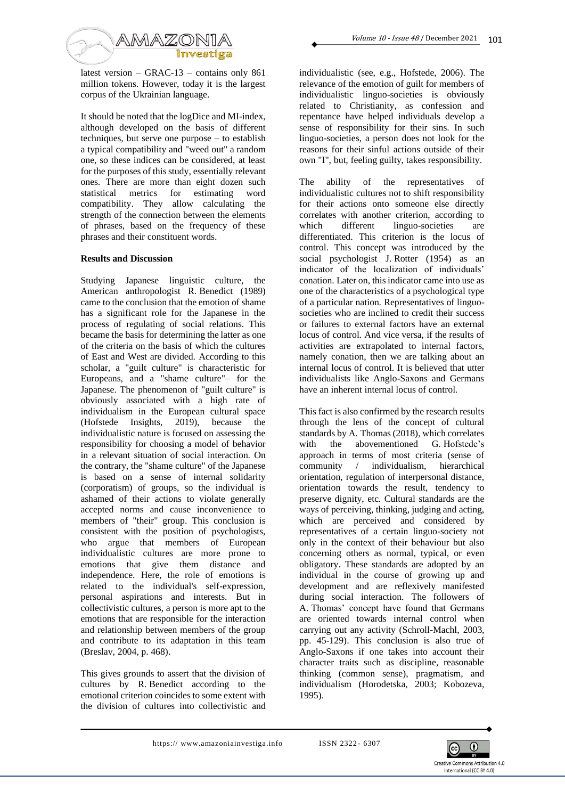

latest version – GRAC-13 – contains only 861 million tokens. However, today it is the largest corpus of the Ukrainian language.

It should be noted that the logDice and MI-index, although developed on the basis of different techniques, but serve one purpose – to establish a typical compatibility and "weed out" a random one, so these indices can be considered, at least for the purposes of this study, essentially relevant ones. There are more than eight dozen such statistical metrics for estimating word compatibility. They allow calculating the strength of the connection between the elements of phrases, based on the frequency of these phrases and their constituent words.

### **Results and Discussion**

Studying Japanese linguistic culture, the American anthropologist R. Benedict (1989) came to the conclusion that the emotion of shame has a significant role for the Japanese in the process of regulating of social relations. This became the basis for determining the latter as one of the criteria on the basis of which the cultures of East and West are divided. According to this scholar, a "guilt culture" is characteristic for Europeans, and a "shame culture"– for the Japanese. The phenomenon of "guilt culture" is obviously associated with a high rate of individualism in the European cultural space (Hofstede Insights, 2019), because the individualistic nature is focused on assessing the responsibility for choosing a model of behavior in a relevant situation of social interaction. On the contrary, the "shame culture" of the Japanese is based on a sense of internal solidarity (corporatism) of groups, so the individual is ashamed of their actions to violate generally accepted norms and cause inconvenience to members of "their" group. This conclusion is consistent with the position of psychologists, who argue that members of European individualistic cultures are more prone to emotions that give them distance and independence. Here, the role of emotions is related to the individual's self-expression, personal aspirations and interests. But in collectivistic cultures, a person is more apt to the emotions that are responsible for the interaction and relationship between members of the group and contribute to its adaptation in this team (Breslav, 2004, p. 468).

This gives grounds to assert that the division of cultures by R. Benedict according to the emotional criterion coincides to some extent with the division of cultures into collectivistic and

individualistic (see, e.g., Hofstede, 2006). The relevance of the emotion of guilt for members of individualistic linguo-societies is obviously related to Christianity, as confession and repentance have helped individuals develop a sense of responsibility for their sins. In such linguo-societies, a person does not look for the reasons for their sinful actions outside of their own "I", but, feeling guilty, takes responsibility.

The ability of the representatives of individualistic cultures not to shift responsibility for their actions onto someone else directly correlates with another criterion, according to which different linguo-societies are differentiated. This criterion is the locus of control. This concept was introduced by the social psychologist J. Rotter (1954) as an indicator of the localization of individuals' conation. Later on, this indicator came into use as one of the characteristics of a psychological type of a particular nation. Representatives of linguosocieties who are inclined to credit their success or failures to external factors have an external locus of control. And vice versa, if the results of activities are extrapolated to internal factors, namely conation, then we are talking about an internal locus of control. It is believed that utter individualists like Anglo-Saxons and Germans have an inherent internal locus of control.

This fact is also confirmed by the research results through the lens of the concept of cultural standards by A. Thomas(2018), which correlates with the abovementioned G. Hofstede's approach in terms of most criteria (sense of community / individualism, hierarchical orientation, regulation of interpersonal distance, orientation towards the result, tendency to preserve dignity, etc. Cultural standards are the ways of perceiving, thinking, judging and acting, which are perceived and considered by representatives of a certain linguo-society not only in the context of their behaviour but also concerning others as normal, typical, or even obligatory. These standards are adopted by an individual in the course of growing up and development and are reflexively manifested during social interaction. The followers of A. Thomas' concept have found that Germans are oriented towards internal control when carrying out any activity (Schroll-Machl, 2003, pp. 45-129). This conclusion is also true of Anglo-Saxons if one takes into account their character traits such as discipline, reasonable thinking (common sense), pragmatism, and individualism (Horodetska, 2003; Kobozeva, 1995).

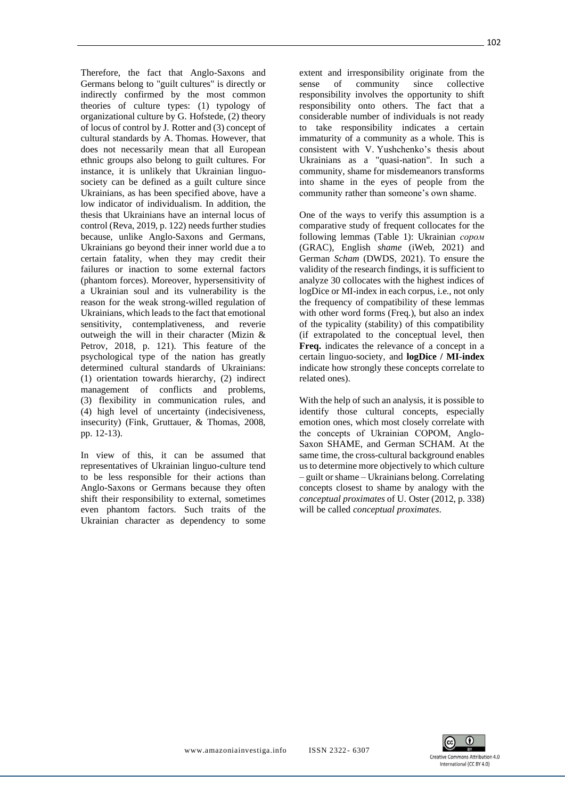Therefore, the fact that Anglo-Saxons and Germans belong to "guilt cultures" is directly or indirectly confirmed by the most common theories of culture types: (1) typology of organizational culture by G. Hofstede, (2) theory of locus of control by J. Rotter and (3) concept of cultural standards by A. Thomas. However, that does not necessarily mean that all European ethnic groups also belong to guilt cultures. For instance, it is unlikely that Ukrainian linguosociety can be defined as a guilt culture since Ukrainians, as has been specified above, have a low indicator of individualism. In addition, the thesis that Ukrainians have an internal locus of control (Reva, 2019, p. 122) needs further studies because, unlike Anglo-Saxons and Germans, Ukrainians go beyond their inner world due a to certain fatality, when they may credit their failures or inaction to some external factors (phantom forces). Moreover, hypersensitivity of a Ukrainian soul and its vulnerability is the reason for the weak strong-willed regulation of Ukrainians, which leads to the fact that emotional sensitivity, contemplativeness, and reverie outweigh the will in their character (Mizin & Petrov, 2018, p. 121). This feature of the psychological type of the nation has greatly determined cultural standards of Ukrainians: (1) orientation towards hierarchy, (2) indirect management of conflicts and problems, (3) flexibility in communication rules, and (4) high level of uncertainty (indecisiveness, insecurity) (Fink, Gruttauer, & Thomas, 2008, pp. 12-13).

In view of this, it can be assumed that representatives of Ukrainian linguo-culture tend to be less responsible for their actions than Anglo-Saxons or Germans because they often shift their responsibility to external, sometimes even phantom factors. Such traits of the Ukrainian character as dependency to some

extent and irresponsibility originate from the sense of community since collective responsibility involves the opportunity to shift responsibility onto others. The fact that a considerable number of individuals is not ready to take responsibility indicates a certain immaturity of a community as a whole. This is consistent with V. Yushchenko's thesis about Ukrainians as a "quasi-nation". In such a community, shame for misdemeanors transforms into shame in the eyes of people from the community rather than someone's own shame.

One of the ways to verify this assumption is a comparative study of frequent collocates for the following lemmas (Table 1): Ukrainian *сором* (GRAC), English *shame* (iWeb, 2021) and German *Scham* (DWDS, 2021). To ensure the validity of the research findings, it is sufficient to analyze 30 collocates with the highest indices of logDice or MI-index in each corpus, i.e., not only the frequency of compatibility of these lemmas with other word forms (Freq.), but also an index of the typicality (stability) of this compatibility (if extrapolated to the conceptual level, then **Freq.** indicates the relevance of a concept in a certain linguo-society, and **logDice / MI-index** indicate how strongly these concepts correlate to related ones).

With the help of such an analysis, it is possible to identify those cultural concepts, especially emotion ones, which most closely correlate with the concepts of Ukrainian СОРОМ, Anglo-Saxon SHAME, and German SCHAM. At the same time, the cross-cultural background enables us to determine more objectively to which culture – guilt or shame – Ukrainians belong. Correlating concepts closest to shame by analogy with the *conceptual proximates* of U. Oster (2012, p. 338) will be called *conceptual proximates*.

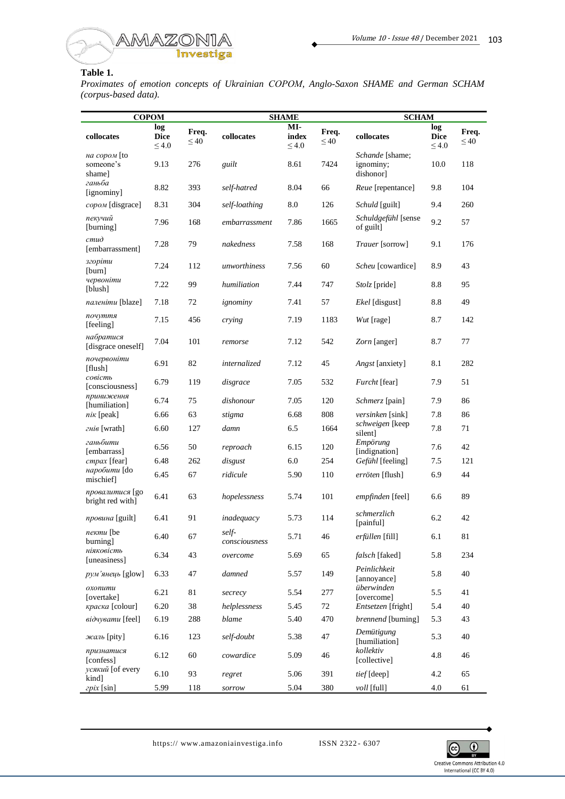

## **Table 1.**

*Proximates of emotion concepts of Ukrainian СОРОМ, Anglo-Saxon SHAME and German SCHAM (corpus-based data).*

| <b>COPOM</b>                        |                                  |                    | <b>SHAME</b>           |                            |                    | <b>SCHAM</b>                              |                                  |                    |
|-------------------------------------|----------------------------------|--------------------|------------------------|----------------------------|--------------------|-------------------------------------------|----------------------------------|--------------------|
| collocates                          | log<br><b>Dice</b><br>$\leq 4.0$ | Freq.<br>$\leq 40$ | collocates             | MI-<br>index<br>$\leq 4.0$ | Freq.<br>$\leq 40$ | collocates                                | log<br><b>Dice</b><br>$\leq 4.0$ | Freq.<br>$\leq 40$ |
| на сором [to<br>someone's<br>shame] | 9.13                             | 276                | guilt                  | 8.61                       | 7424               | Schande [shame;<br>ignominy;<br>dishonor] | 10.0                             | 118                |
| ганьба<br>[ignominy]                | 8.82                             | 393                | self-hatred            | 8.04                       | 66                 | Reue [repentance]                         | 9.8                              | 104                |
| сором [disgrace]                    | 8.31                             | 304                | self-loathing          | 8.0                        | 126                | Schuld [guilt]                            | 9.4                              | 260                |
| пекучий<br>[burning]                | 7.96                             | 168                | embarrassment          | 7.86                       | 1665               | Schuldgefühl [sense<br>of guilt]          | 9.2                              | 57                 |
| cmu <sub>0</sub><br>[embarrassment] | 7.28                             | 79                 | nakedness              | 7.58                       | 168                | Trauer [sorrow]                           | 9.1                              | 176                |
| згоріти<br>[burn]                   | 7.24                             | 112                | unworthiness           | 7.56                       | 60                 | Scheu [cowardice]                         | 8.9                              | 43                 |
| червоніти<br>[blush]                | 7.22                             | 99                 | humiliation            | 7.44                       | 747                | <i>Stolz</i> [pride]                      | 8.8                              | 95                 |
| паленіти [blaze]                    | 7.18                             | 72                 | ignominy               | 7.41                       | 57                 | Ekel [disgust]                            | 8.8                              | 49                 |
| почуття<br>[feeling]                | 7.15                             | 456                | crying                 | 7.19                       | 1183               | Wut [rage]                                | 8.7                              | 142                |
| набратися<br>[disgrace oneself]     | 7.04                             | 101                | remorse                | 7.12                       | 542                | Zorn [anger]                              | 8.7                              | 77                 |
| почервоніти<br>[flush]              | 6.91                             | 82                 | <i>internalized</i>    | 7.12                       | 45                 | Angst [anxiety]                           | 8.1                              | 282                |
| совість<br>[consciousness]          | 6.79                             | 119                | disgrace               | 7.05                       | 532                | Furcht [fear]                             | 7.9                              | 51                 |
| приниження<br>[humiliation]         | 6.74                             | 75                 | dishonour              | 7.05                       | 120                | Schmerz [pain]                            | 7.9                              | 86                 |
| $n$ ik [peak]                       | 6.66                             | 63                 | stigma                 | 6.68                       | 808                | <i>versinken</i> [sink]                   | 7.8                              | 86                 |
| гнів [wrath]                        | 6.60                             | 127                | damn                   | 6.5                        | 1664               | schweigen [keep<br>silent]                | 7.8                              | 71                 |
| ганьбити<br>[embarrass]             | 6.56                             | 50                 | reproach               | 6.15                       | 120                | Empörung<br>[indignation]                 | 7.6                              | 42                 |
| cmpax [fear]                        | 6.48                             | 262                | disgust                | 6.0                        | 254                | Gefühl [feeling]                          | 7.5                              | 121                |
| наробити [do<br>mischief            | 6.45                             | 67                 | ridicule               | 5.90                       | 110                | erröten [flush]                           | 6.9                              | 44                 |
| провалитися [go<br>bright red with] | 6.41                             | 63                 | hopelessness           | 5.74                       | 101                | empfinden [feel]                          | 6.6                              | 89                 |
| провина [guilt]                     | 6.41                             | 91                 | inadequacy             | 5.73                       | 114                | schmerzlich<br>[painful]                  | 6.2                              | 42                 |
| пекти [be<br>burning]               | 6.40                             | 67                 | self-<br>consciousness | 5.71                       | 46                 | erfüllen [fill]                           | 6.1                              | 81                 |
| ніяковість<br>[uneasiness]          | 6.34                             | 43                 | overcome               | 5.69                       | 65                 | falsch [faked]                            | 5.8                              | 234                |
| рум'янець [glow]                    | 6.33                             | 47                 | damned                 | 5.57                       | 149                | Peinlichkeit<br>[annoyance]               | 5.8                              | 40                 |
| охопити<br>[overtake]               | 6.21                             | 81                 | secrecy                | 5.54                       | 277                | überwinden<br>[overcome]                  | 5.5                              | 41                 |
| краска [colour]                     | 6.20                             | 38                 | helplessness           | 5.45                       | 72                 | Entsetzen [fright]                        | 5.4                              | 40                 |
| eidyyeamu [feel]                    | 6.19                             | 288                | blame                  | 5.40                       | 470                | brennend [burning]                        | 5.3                              | 43                 |
| жаль [pity]                         | 6.16                             | 123                | self-doubt             | 5.38                       | 47                 | Demütigung<br>[humiliation]               | 5.3                              | 40                 |
| признатися<br>[confess]             | 6.12                             | 60                 | cowardice              | 5.09                       | 46                 | kollektiv<br>[collective]                 | 4.8                              | 46                 |
| усякий [of every<br>kind]           | 6.10                             | 93                 | regret                 | 5.06                       | 391                | tief [deep]                               | 4.2                              | 65                 |
| zpix [sin]                          | 5.99                             | 118                | sorrow                 | 5.04                       | 380                | voll [full]                               | 4.0                              | 61                 |

https:// www.amazoniainvestiga.info ISSN 2322 - 6307

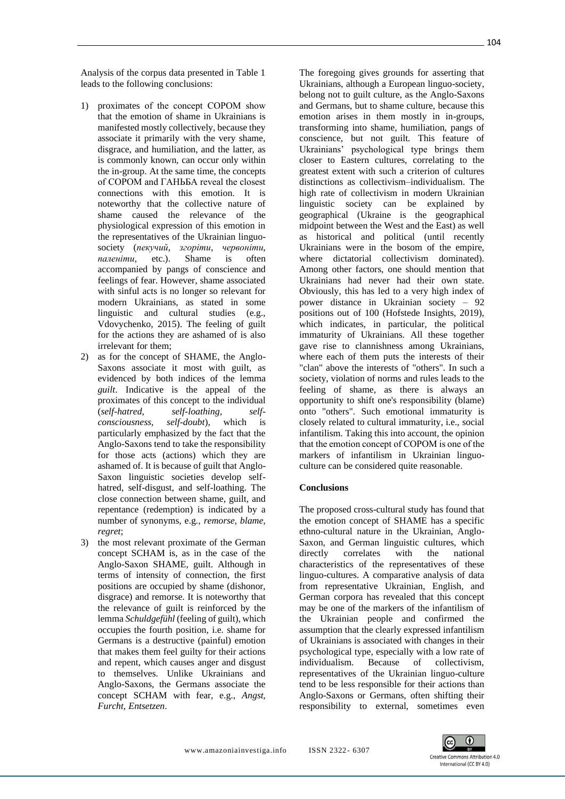Analysis of the corpus data presented in Table 1 leads to the following conclusions:

- 1) proximates of the concept СОРОМ show that the emotion of shame in Ukrainians is manifested mostly collectively, because they associate it primarily with the very shame, disgrace, and humiliation, and the latter, as is commonly known, can occur only within the in-group. At the same time, the concepts of СОРОМ and ГАНЬБА reveal the closest connections with this emotion. It is noteworthy that the collective nature of shame caused the relevance of the physiological expression of this emotion in the representatives of the Ukrainian linguosociety (*пекучий*, *згоріти*, *червоніти*, *паленіти*, etc.). Shame is often accompanied by pangs of conscience and feelings of fear. However, shame associated with sinful acts is no longer so relevant for modern Ukrainians, as stated in some linguistic and cultural studies (e.g., Vdovychenko, 2015). The feeling of guilt for the actions they are ashamed of is also irrelevant for them;
- 2) as for the concept of SHAME, the Anglo-Saxons associate it most with guilt, as evidenced by both indices of the lemma *guilt*. Indicative is the appeal of the proximates of this concept to the individual (*self-hatred, self-loathing, selfconsciousness, self-doubt*), which is particularly emphasized by the fact that the Anglo-Saxons tend to take the responsibility for those acts (actions) which they are ashamed of. It is because of guilt that Anglo-Saxon linguistic societies develop selfhatred, self-disgust, and self-loathing. The close connection between shame, guilt, and repentance (redemption) is indicated by a number of synonyms, e.g., *remorse, blame, regret*;
- 3) the most relevant proximate of the German concept SCHAM is, as in the case of the Anglo-Saxon SHAME, guilt. Although in terms of intensity of connection, the first positions are occupied by shame (dishonor, disgrace) and remorse. It is noteworthy that the relevance of guilt is reinforced by the lemma *Schuldgefühl* (feeling of guilt), which occupies the fourth position, i.e. shame for Germans is a destructive (painful) emotion that makes them feel guilty for their actions and repent, which causes anger and disgust to themselves. Unlike Ukrainians and Anglo-Saxons, the Germans associate the concept SCHAM with fear, e.g., *Angst, Furcht, Entsetzen*.

The foregoing gives grounds for asserting that Ukrainians, although a European linguo-society, belong not to guilt culture, as the Anglo-Saxons and Germans, but to shame culture, because this emotion arises in them mostly in in-groups, transforming into shame, humiliation, pangs of conscience, but not guilt. This feature of Ukrainians' psychological type brings them closer to Eastern cultures, correlating to the greatest extent with such a criterion of cultures distinctions as collectivism–individualism. The high rate of collectivism in modern Ukrainian linguistic society can be explained by geographical (Ukraine is the geographical midpoint between the West and the East) as well as historical and political (until recently Ukrainians were in the bosom of the empire, where dictatorial collectivism dominated). Among other factors, one should mention that Ukrainians had never had their own state. Obviously, this has led to a very high index of power distance in Ukrainian society – 92 positions out of 100 (Hofstede Insights, 2019), which indicates, in particular, the political immaturity of Ukrainians. All these together gave rise to clannishness among Ukrainians, where each of them puts the interests of their "clan" above the interests of "others". In such a society, violation of norms and rules leads to the feeling of shame, as there is always an opportunity to shift one's responsibility (blame) onto "others". Such emotional immaturity is closely related to cultural immaturity, i.e., social infantilism. Taking this into account, the opinion that the emotion concept of СОРОМ is one of the markers of infantilism in Ukrainian linguoculture can be considered quite reasonable.

### **Conclusions**

The proposed cross-cultural study has found that the emotion concept of SHAME has a specific ethno-cultural nature in the Ukrainian, Anglo-Saxon, and German linguistic cultures, which directly correlates with the national characteristics of the representatives of these linguo-cultures. A comparative analysis of data from representative Ukrainian, English, and German corpora has revealed that this concept may be one of the markers of the infantilism of the Ukrainian people and confirmed the assumption that the clearly expressed infantilism of Ukrainians is associated with changes in their psychological type, especially with a low rate of individualism. Because of collectivism, representatives of the Ukrainian linguo-culture tend to be less responsible for their actions than Anglo-Saxons or Germans, often shifting their responsibility to external, sometimes even

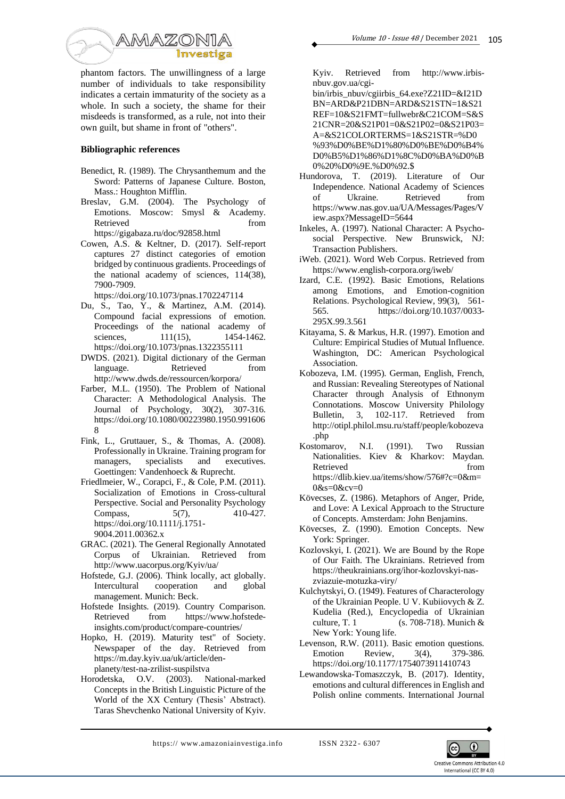

phantom factors. The unwillingness of a large number of individuals to take responsibility indicates a certain immaturity of the society as a whole. In such a society, the shame for their misdeeds is transformed, as a rule, not into their own guilt, but shame in front of "others".

### **Bibliographic references**

- Benedict, R. (1989). The Chrysanthemum and the Sword: Patterns of Japanese Culture. Boston, Mass.: Houghton Mifflin.
- Breslav, G.M. (2004). The Psychology of Emotions. Moscow: Smysl & Academy. Retrieved from  $\sim$ https://gigabaza.ru/doc/92858.html
- Cowen, A.S. & Keltner, D. (2017). Self-report captures 27 distinct categories of emotion bridged by continuous gradients. Proceedings of the national academy of sciences, 114(38), 7900-7909.

https://doi.org/10.1073/pnas.1702247114

- Du, S., Tao, Y., & Martinez, A.M. (2014). Compound facial expressions of emotion. Proceedings of the national academy of sciences, 111(15), 1454-1462. https://doi.org/10.1073/pnas.1322355111
- DWDS. (2021). Digital dictionary of the German language. Retrieved from http://www.dwds.de/ressourcen/korpora/
- Farber, M.L. (1950). The Problem of National Character: A Methodological Analysis. The Journal of Psychology, 30(2), 307-316. https://doi.org/10.1080/00223980.1950.991606 8
- Fink, L., Gruttauer, S., & Thomas, A. (2008). Professionally in Ukraine. Training program for managers, specialists and executives. Goettingen: Vandenhoeck & Ruprecht.
- Friedlmeier, W., Corapci, F., & Cole, P.M. (2011). Socialization of Emotions in Cross-cultural Perspective. Social and Personality Psychology Compass, 5(7), 410-427. https://doi.org/10.1111/j.1751- 9004.2011.00362.x
- GRAC. (2021). The General Regionally Annotated Corpus of Ukrainian. Retrieved from http://www.uacorpus.org/Kyiv/ua/
- Hofstede, G.J. (2006). Think locally, act globally. Intercultural cooperation and global management. Munich: Beck.
- Hofstede Insights. (2019). Country Comparison. Retrieved from https://www.hofstedeinsights.com/product/compare-countries/
- Hopko, H. (2019). Maturity test" of Society. Newspaper of the day. Retrieved from https://m.day.kyiv.ua/uk/article/denplanety/test-na-zrilist-suspilstva
- Horodetska, O.V. (2003). National-marked Concepts in the British Linguistic Picture of the World of the XX Century (Thesis' Abstract). Taras Shevchenko National University of Kyiv.

Kyiv. Retrieved from http://www.irbisnbuv.gov.ua/cgi-

bin/irbis\_nbuv/cgiirbis\_64.exe?Z21ID=&I21D BN=ARD&P21DBN=ARD&S21STN=1&S21 REF=10&S21FMT=fullwebr&C21COM=S&S 21CNR=20&S21P01=0&S21P02=0&S21P03= A=&S21COLORTERMS=1&S21STR=%D0 %93%D0%BE%D1%80%D0%BE%D0%B4% D0%B5%D1%86%D1%8C%D0%BA%D0%B 0%20%D0%9E.%D0%92.\$

- Hundorova, T. (2019). Literature of Our Independence. National Academy of Sciences of Ukraine. Retrieved from https://www.nas.gov.ua/UA/Messages/Pages/V iew.aspx?MessageID=5644
- Inkeles, A. (1997). National Character: A Psychosocial Perspective. New Brunswick, NJ: Transaction Publishers.
- iWeb. (2021). Word Web Corpus. Retrieved from https://www.english-corpora.org/iweb/
- Izard, C.E. (1992). Basic Emotions, Relations among Emotions, and Emotion-cognition Relations. Psychological Review, 99(3), 561- 565. https://doi.org/10.1037/0033- 295X.99.3.561
- Kitayama, S. & Markus, H.R. (1997). Emotion and Culture: Empirical Studies of Mutual Influence. Washington, DC: American Psychological Association.
- Kobozeva, I.M. (1995). German, English, French, and Russian: Revealing Stereotypes of National Character through Analysis of Ethnonym Connotations. Moscow University Philology Bulletin, 3, 102-117. Retrieved from http://otipl.philol.msu.ru/staff/people/kobozeva
- .php<br>Kostomarov, N.I. (1991). Two Russian Nationalities. Kiev & Kharkov: Maydan. Retrieved from  $\sim$ https://dlib.kiev.ua/items/show/576#?c=0&m= 0&s=0&cv=0
- Kövecses, Z. (1986). Metaphors of Anger, Pride, and Love: A Lexical Approach to the Structure of Concepts. Amsterdam: John Benjamins.
- Kövecses, Z. (1990). Emotion Concepts. New York: Springer.
- Kozlovskyi, I. (2021). We are Bound by the Rope of Our Faith. The Ukrainians. Retrieved from https://theukrainians.org/ihor-kozlovskyi-naszviazuie-motuzka-viry/
- Kulchytskyi, O. (1949). Features of Characterology of the Ukrainian People. U V. Kubiiovych & Z. Kudelia (Red.), Encyclopedia of Ukrainian culture, T. 1 (s. 708-718). Munich & New York: Young life.
- Levenson, R.W. (2011). Basic emotion questions. Emotion Review, 3(4), 379-386. https://doi.org/10.1177/1754073911410743
- Lewandowska-Tomaszczyk, B. (2017). Identity, emotions and cultural differences in English and Polish online comments. International Journal